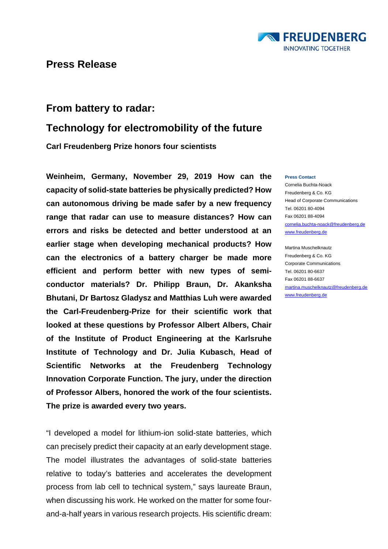

# **From battery to radar:**

# **Technology for electromobility of the future**

**Carl Freudenberg Prize honors four scientists**

**Weinheim, Germany, November 29, 2019 How can the capacity of solid-state batteries be physically predicted? How can autonomous driving be made safer by a new frequency range that radar can use to measure distances? How can errors and risks be detected and better understood at an earlier stage when developing mechanical products? How can the electronics of a battery charger be made more efficient and perform better with new types of semiconductor materials? Dr. Philipp Braun, Dr. Akanksha Bhutani, Dr Bartosz Gladysz and Matthias Luh were awarded the Carl-Freudenberg-Prize for their scientific work that looked at these questions by Professor Albert Albers, Chair of the Institute of Product Engineering at the Karlsruhe Institute of Technology and Dr. Julia Kubasch, Head of Scientific Networks at the Freudenberg Technology Innovation Corporate Function. The jury, under the direction of Professor Albers, honored the work of the four scientists. The prize is awarded every two years.** 

"I developed a model for lithium-ion solid-state batteries, which can precisely predict their capacity at an early development stage. The model illustrates the advantages of solid-state batteries relative to today's batteries and accelerates the development process from lab cell to technical system," says laureate Braun, when discussing his work. He worked on the matter for some fourand-a-half years in various research projects. His scientific dream:

#### **Press Contact**

Cornelia Buchta-Noack Freudenberg & Co. KG Head of Corporate Communications Tel. 06201 80-4094 Fax 06201 88-4094 [cornelia.buchta-noack@freudenberg.de](mailto:cornelia.buchta-noack@freudenberg.de) [www.freudenberg.de](http://www.freudenberg.de/)

Martina Muschelknautz Freudenberg & Co. KG Corporate Communications Tel. 06201 80-6637 Fax 06201 88-6637 [martina.muschelknautz@freudenberg.de](mailto:martina.muschelknautz@freudenberg.de) [www.freudenberg.de](http://www.freudenberg.de/)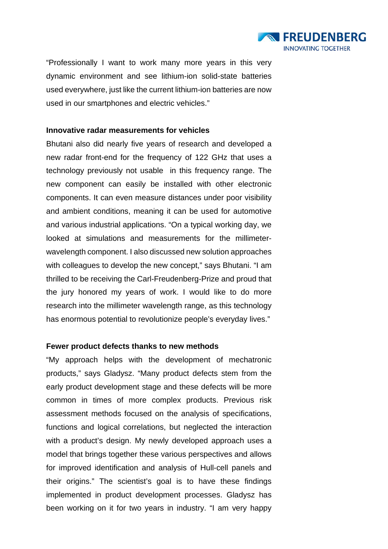

"Professionally I want to work many more years in this very dynamic environment and see lithium-ion solid-state batteries used everywhere, just like the current lithium-ion batteries are now used in our smartphones and electric vehicles."

### **Innovative radar measurements for vehicles**

Bhutani also did nearly five years of research and developed a new radar front-end for the frequency of 122 GHz that uses a technology previously not usable in this frequency range. The new component can easily be installed with other electronic components. It can even measure distances under poor visibility and ambient conditions, meaning it can be used for automotive and various industrial applications. "On a typical working day, we looked at simulations and measurements for the millimeterwavelength component. I also discussed new solution approaches with colleagues to develop the new concept," says Bhutani. "I am thrilled to be receiving the Carl-Freudenberg-Prize and proud that the jury honored my years of work. I would like to do more research into the millimeter wavelength range, as this technology has enormous potential to revolutionize people's everyday lives."

### **Fewer product defects thanks to new methods**

"My approach helps with the development of mechatronic products," says Gladysz. "Many product defects stem from the early product development stage and these defects will be more common in times of more complex products. Previous risk assessment methods focused on the analysis of specifications, functions and logical correlations, but neglected the interaction with a product's design. My newly developed approach uses a model that brings together these various perspectives and allows for improved identification and analysis of Hull-cell panels and their origins." The scientist's goal is to have these findings implemented in product development processes. Gladysz has been working on it for two years in industry. "I am very happy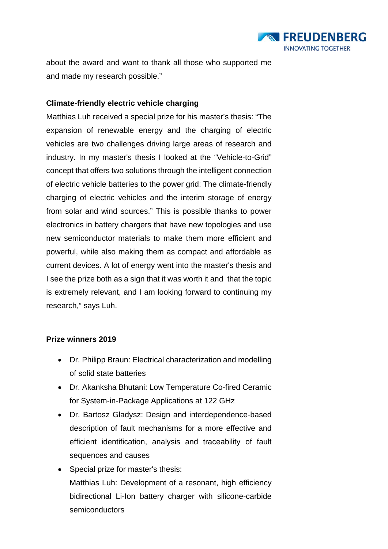

about the award and want to thank all those who supported me and made my research possible."

## **Climate-friendly electric vehicle charging**

Matthias Luh received a special prize for his master's thesis: "The expansion of renewable energy and the charging of electric vehicles are two challenges driving large areas of research and industry. In my master's thesis I looked at the "Vehicle-to-Grid" concept that offers two solutions through the intelligent connection of electric vehicle batteries to the power grid: The climate-friendly charging of electric vehicles and the interim storage of energy from solar and wind sources." This is possible thanks to power electronics in battery chargers that have new topologies and use new semiconductor materials to make them more efficient and powerful, while also making them as compact and affordable as current devices. A lot of energy went into the master's thesis and I see the prize both as a sign that it was worth it and that the topic is extremely relevant, and I am looking forward to continuing my research," says Luh.

### **Prize winners 2019**

- Dr. Philipp Braun: Electrical characterization and modelling of solid state batteries
- Dr. Akanksha Bhutani: Low Temperature Co-fired Ceramic for System-in-Package Applications at 122 GHz
- Dr. Bartosz Gladysz: Design and interdependence-based description of fault mechanisms for a more effective and efficient identification, analysis and traceability of fault sequences and causes
- Special prize for master's thesis: Matthias Luh: Development of a resonant, high efficiency bidirectional Li-Ion battery charger with silicone-carbide semiconductors